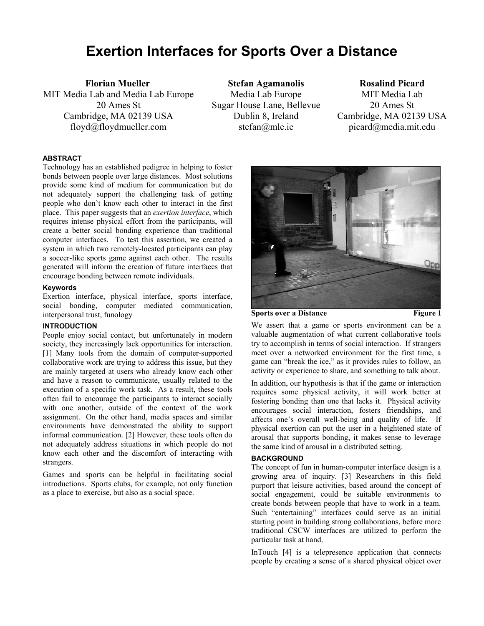# **Exertion Interfaces for Sports Over a Distance**

**Florian Mueller**  MIT Media Lab and Media Lab Europe 20 Ames St Cambridge, MA 02139 USA floyd@floydmueller.com

**Stefan Agamanolis**  Media Lab Europe Sugar House Lane, Bellevue Dublin 8, Ireland stefan@mle.ie

## **Rosalind Picard**

MIT Media Lab 20 Ames St Cambridge, MA 02139 USA picard@media.mit.edu

## **ABSTRACT**

Technology has an established pedigree in helping to foster bonds between people over large distances. Most solutions provide some kind of medium for communication but do not adequately support the challenging task of getting people who don't know each other to interact in the first place. This paper suggests that an *exertion interface*, which requires intense physical effort from the participants, will create a better social bonding experience than traditional computer interfaces. To test this assertion, we created a system in which two remotely-located participants can play a soccer-like sports game against each other. The results generated will inform the creation of future interfaces that encourage bonding between remote individuals.

## **Keywords**

Exertion interface, physical interface, sports interface, social bonding, computer mediated communication, interpersonal trust, funology

# **INTRODUCTION**

People enjoy social contact, but unfortunately in modern society, they increasingly lack opportunities for interaction. [1] Many tools from the domain of computer-supported collaborative work are trying to address this issue, but they are mainly targeted at users who already know each other and have a reason to communicate, usually related to the execution of a specific work task. As a result, these tools often fail to encourage the participants to interact socially with one another, outside of the context of the work assignment. On the other hand, media spaces and similar environments have demonstrated the ability to support informal communication. [2] However, these tools often do not adequately address situations in which people do not know each other and the discomfort of interacting with strangers.

Games and sports can be helpful in facilitating social introductions. Sports clubs, for example, not only function as a place to exercise, but also as a social space.



**Sports over a Distance Figure 1** 

We assert that a game or sports environment can be a valuable augmentation of what current collaborative tools try to accomplish in terms of social interaction. If strangers meet over a networked environment for the first time, a game can "break the ice," as it provides rules to follow, an activity or experience to share, and something to talk about.

In addition, our hypothesis is that if the game or interaction requires some physical activity, it will work better at fostering bonding than one that lacks it. Physical activity encourages social interaction, fosters friendships, and affects one's overall well-being and quality of life. If physical exertion can put the user in a heightened state of arousal that supports bonding, it makes sense to leverage the same kind of arousal in a distributed setting.

#### **BACKGROUND**

The concept of fun in human-computer interface design is a growing area of inquiry. [3] Researchers in this field purport that leisure activities, based around the concept of social engagement, could be suitable environments to create bonds between people that have to work in a team. Such "entertaining" interfaces could serve as an initial starting point in building strong collaborations, before more traditional CSCW interfaces are utilized to perform the particular task at hand.

InTouch [4] is a telepresence application that connects people by creating a sense of a shared physical object over